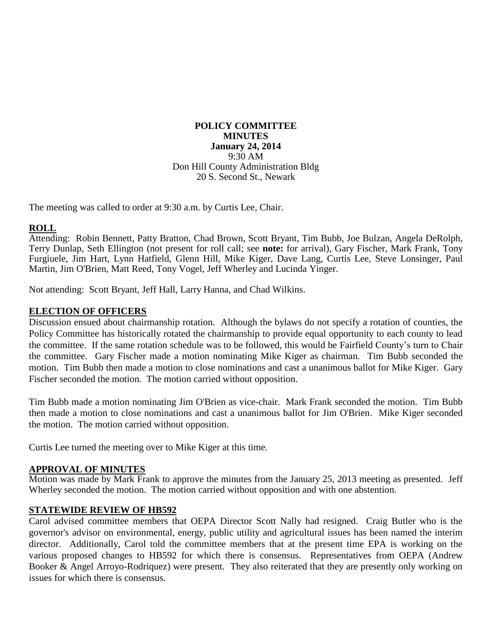#### **POLICY COMMITTEE MINUTES January 24, 2014** 9:30 AM Don Hill County Administration Bldg 20 S. Second St., Newark

The meeting was called to order at 9:30 a.m. by Curtis Lee, Chair.

## **ROLL**

Attending: Robin Bennett, Patty Bratton, Chad Brown, Scott Bryant, Tim Bubb, Joe Bulzan, Angela DeRolph, Terry Dunlap, Seth Ellington (not present for roll call; see **note:** for arrival), Gary Fischer, Mark Frank, Tony Furgiuele, Jim Hart, Lynn Hatfield, Glenn Hill, Mike Kiger, Dave Lang, Curtis Lee, Steve Lonsinger, Paul Martin, Jim O'Brien, Matt Reed, Tony Vogel, Jeff Wherley and Lucinda Yinger.

Not attending: Scott Bryant, Jeff Hall, Larry Hanna, and Chad Wilkins.

# **ELECTION OF OFFICERS**

Discussion ensued about chairmanship rotation. Although the bylaws do not specify a rotation of counties, the Policy Committee has historically rotated the chairmanship to provide equal opportunity to each county to lead the committee. If the same rotation schedule was to be followed, this would be Fairfield County's turn to Chair the committee. Gary Fischer made a motion nominating Mike Kiger as chairman. Tim Bubb seconded the motion. Tim Bubb then made a motion to close nominations and cast a unanimous ballot for Mike Kiger. Gary Fischer seconded the motion. The motion carried without opposition.

Tim Bubb made a motion nominating Jim O'Brien as vice-chair. Mark Frank seconded the motion. Tim Bubb then made a motion to close nominations and cast a unanimous ballot for Jim O'Brien. Mike Kiger seconded the motion. The motion carried without opposition.

Curtis Lee turned the meeting over to Mike Kiger at this time.

### **APPROVAL OF MINUTES**

Motion was made by Mark Frank to approve the minutes from the January 25, 2013 meeting as presented. Jeff Wherley seconded the motion. The motion carried without opposition and with one abstention.

### **STATEWIDE REVIEW OF HB592**

Carol advised committee members that OEPA Director Scott Nally had resigned. Craig Butler who is the governor's advisor on environmental, energy, public utility and agricultural issues has been named the interim director. Additionally, Carol told the committee members that at the present time EPA is working on the various proposed changes to HB592 for which there is consensus. Representatives from OEPA (Andrew Booker & Angel Arroyo-Rodriquez) were present. They also reiterated that they are presently only working on issues for which there is consensus.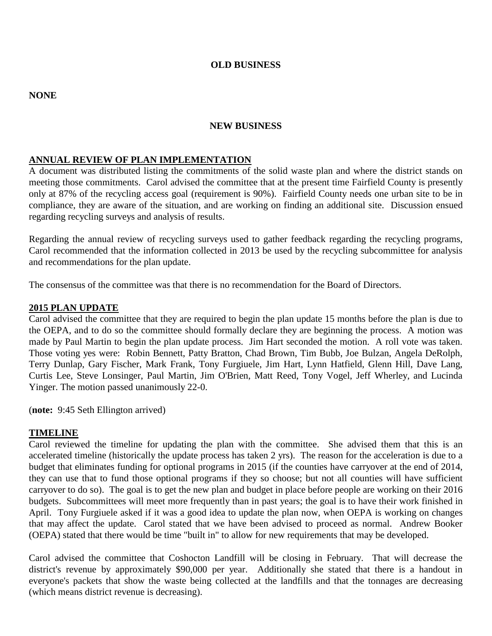#### **OLD BUSINESS**

#### **NONE**

#### **NEW BUSINESS**

### **ANNUAL REVIEW OF PLAN IMPLEMENTATION**

A document was distributed listing the commitments of the solid waste plan and where the district stands on meeting those commitments. Carol advised the committee that at the present time Fairfield County is presently only at 87% of the recycling access goal (requirement is 90%). Fairfield County needs one urban site to be in compliance, they are aware of the situation, and are working on finding an additional site. Discussion ensued regarding recycling surveys and analysis of results.

Regarding the annual review of recycling surveys used to gather feedback regarding the recycling programs, Carol recommended that the information collected in 2013 be used by the recycling subcommittee for analysis and recommendations for the plan update.

The consensus of the committee was that there is no recommendation for the Board of Directors.

#### **2015 PLAN UPDATE**

Carol advised the committee that they are required to begin the plan update 15 months before the plan is due to the OEPA, and to do so the committee should formally declare they are beginning the process. A motion was made by Paul Martin to begin the plan update process. Jim Hart seconded the motion. A roll vote was taken. Those voting yes were: Robin Bennett, Patty Bratton, Chad Brown, Tim Bubb, Joe Bulzan, Angela DeRolph, Terry Dunlap, Gary Fischer, Mark Frank, Tony Furgiuele, Jim Hart, Lynn Hatfield, Glenn Hill, Dave Lang, Curtis Lee, Steve Lonsinger, Paul Martin, Jim O'Brien, Matt Reed, Tony Vogel, Jeff Wherley, and Lucinda Yinger. The motion passed unanimously 22-0.

(**note:** 9:45 Seth Ellington arrived)

#### **TIMELINE**

Carol reviewed the timeline for updating the plan with the committee. She advised them that this is an accelerated timeline (historically the update process has taken 2 yrs). The reason for the acceleration is due to a budget that eliminates funding for optional programs in 2015 (if the counties have carryover at the end of 2014, they can use that to fund those optional programs if they so choose; but not all counties will have sufficient carryover to do so). The goal is to get the new plan and budget in place before people are working on their 2016 budgets. Subcommittees will meet more frequently than in past years; the goal is to have their work finished in April. Tony Furgiuele asked if it was a good idea to update the plan now, when OEPA is working on changes that may affect the update. Carol stated that we have been advised to proceed as normal. Andrew Booker (OEPA) stated that there would be time "built in" to allow for new requirements that may be developed.

Carol advised the committee that Coshocton Landfill will be closing in February. That will decrease the district's revenue by approximately \$90,000 per year. Additionally she stated that there is a handout in everyone's packets that show the waste being collected at the landfills and that the tonnages are decreasing (which means district revenue is decreasing).